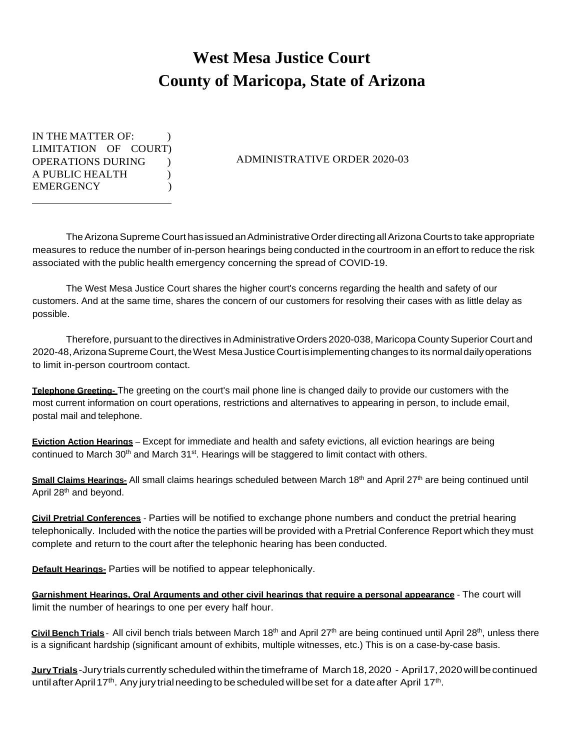## **West Mesa Justice Court County of Maricopa, State of Arizona**

IN THE MATTER OF: LIMITATION OF COURT) OPERATIONS DURING ) A PUBLIC HEALTH ) EMERGENCY (1)

## ADMINISTRATIVE ORDER 2020-03

The Arizona Supreme Court has issued an Administrative Order directing all Arizona Courts to take appropriate measures to reduce the number of in-person hearings being conducted in the courtroom in an effort to reduce the risk associated with the public health emergency concerning the spread of COVID-19.

The West Mesa Justice Court shares the higher court's concerns regarding the health and safety of our customers. And at the same time, shares the concern of our customers for resolving their cases with as little delay as possible.

Therefore, pursuant to the directives in Administrative Orders 2020-038, Maricopa County Superior Court and 2020-48,ArizonaSupremeCourt,theWest Mesa Justice Courtisimplementingchanges to its normaldailyoperations to limit in-person courtroom contact.

**Telephone Greeting-** The greeting on the court's mail phone line is changed daily to provide our customers with the most current information on court operations, restrictions and alternatives to appearing in person, to include email, postal mail and telephone.

**Eviction Action Hearings** – Except for immediate and health and safety evictions, all eviction hearings are being continued to March  $30<sup>th</sup>$  and March  $31<sup>st</sup>$ . Hearings will be staggered to limit contact with others.

**Small Claims Hearings-** All small claims hearings scheduled between March 18<sup>th</sup> and April 27<sup>th</sup> are being continued until April 28<sup>th</sup> and beyond.

**Civil Pretrial Conferences** - Parties will be notified to exchange phone numbers and conduct the pretrial hearing telephonically. Included with the notice the parties will be provided with a Pretrial Conference Report which they must complete and return to the court after the telephonic hearing has been conducted.

**Default Hearings-** Parties will be notified to appear telephonically.

**Garnishment Hearings, Oral Arguments and other civil hearings that require a personal appearance** - The court will limit the number of hearings to one per every half hour.

**Civil Bench Trials** - All civil bench trials between March 18<sup>th</sup> and April 27<sup>th</sup> are being continued until April 28<sup>th</sup>, unless there is a significant hardship (significant amount of exhibits, multiple witnesses, etc.) This is on a case-by-case basis.

**Jury Trials**-Jury trials currently scheduled within the timeframe of March 18, 2020 - April17, 2020 will be continued until after April 17<sup>th</sup>. Any jury trial needing to be scheduled will be set for a date after April 17<sup>th</sup>.